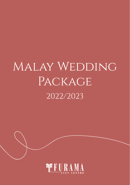# MALAY WEDDING PACKAGE 2022/2023

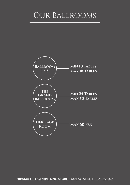## Our Ballrooms

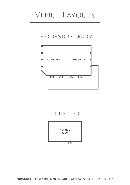## Venue Layouts

#### THE GRAND BALLROOM



#### THE HERITAGE



**FURAMA CITY CENTRE, SINGAPORE |** MALAY WEDDING 2022/2023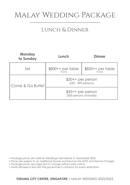# Malay Wedding Package

### Lunch & Dinner

| <b>Monday</b><br>to Sunday | Lunch                                       | <b>Dinner</b>                          |
|----------------------------|---------------------------------------------|----------------------------------------|
| Set                        | $$800++$ per table<br>$10$ pax              | $$850++$ per table<br>10 <sub>px</sub> |
| Come & Go Buffet           | $$50++$ per person<br>(250 - 499 persons)   |                                        |
|                            | $$45++$ per person<br>(500 persons onwards) |                                        |

• Package prices are valid for Weddings held before 31 December 2023.

- Prices are subject to an additional Goods and Services Tax (GST) and Service Charges.
- Package prices are subjected to change without prior notice.
- Hotel will keep in line with the government's advisory for event restrictions.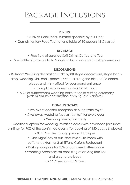# Package Inclusions

#### **DINING**

- A lavish Halal Menu curated specially by our Chef
- Complimentary Food Tasting for a table of 10 persons (8 Courses)

#### **BEVERAGE**

- Free flow of assorted Soft Drinks, Coffee and Tea
- One bottle of non-alcoholic Sparkling Juice for stage toasting ceremony

#### **DECORATIONS**

- Ballroom Wedding decorations: 18ft by 8ft stage decorations, stage backdrop, wedding Dias chair, pedestals stands along the aisle, table centre
	- pieces and misty effect for your grand entrance
		- Complimentary seat covers for all chairs
	- A 2-tier buttercream wedding cake for cake cutting ceremony (with minimum confirmation of 350 guest & above)

#### **COMPLIMENTARY**

- Pre-event cocktail reception at our private foyer
- Give-away wedding favours (berkat) for every guest
	- Wedding E-invitation cards

 • Additional option for wedding invitation cards with envelopes (excludes printing) for 70% of the confirmed guests (for booking of 150 guests & above)

- 01 x Day Use changing room for helper
- One Night Stay at our Executive Suite Room with
- buffet breakfast for 2 at Tiffany Café & Restaurant
- Parking coupons for 20% of confirmed attendance
- Wedding Accessory set consisting of an Ang Bao Box and a signature book
	- LCD Projector with Screen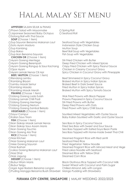# Halal Malay Set Menu

**APPETIZER** SAJIAN SEJUK & PANAS O Prawn Salad with Mayonnaise O Spring Roll<br>O Japanese Seasoned Baby Octopus O Seafood Roll O Japanese Seasoned Baby Octopus O Sotong Ball with Thai Sauce **SOUP** (Choose 1 item) Sup Sayuran Bersama Makanan Laut Seafood Soup with Vegetables  $\bigcap$ Sup Kambina Sup Bakso Beef Ball Soup with Vegetables OSup Ikan Bersama Sayuran **CHICKEN OR** (Choose 1 item) O Ayam Goreng Mentega Stir Fried Chicken with Butter O Ayam Goreng Berempah Deep Fried Chicken with Mixed Spices<br>O Ayam Goreng Rangup & Saus Kachang Crispy Fried Chicken with Spicy Peanut Opor Ayam Chicken in Creamy Coconut Gravy **BEEF/ MUTTON** (Choose 1 item) O Rendang Lembu Beef Simmered in Spicy Coconut Gravy Kambing Briyani Braised Mutton in Spicy Indian Spices Lembu Masak Semur Braised Beef in Dark Sweet Sauce O Kambing Masak Merah Braised Mutton with Spicy Tomato Sauce **PRAWNS** (Choose 1 item) Udang Goreng Lada Sulah Wok Fried Prawns with Black Pepper Udang Lemak Chilli Padi Prawns Prepared in Spicy Coconut Sauce Udang Goreng Mentega Stir Fried Prawns with Butter Udang Goreng Nestum Deep Fried Prawns with Oats Udang Goreng Sambal Belado Fried Prawn with Spicy Chilli Sauce **VEGETABLES** (Choose 1 item) OSayur Campur Sautéed Mixed Vegetables with Oyster Sauce **FISH** (Choose 1 item) Ikan Siakap Masak Lemak Nenas Sea Bass in Spicy Coconut Sauce Ikan Siakap Saus Assam Manis Fried Sea Bass with Sweet and Sour Sauce Ikan Goreng Tauchio Sea Bass Topped with Salted Soya Bean Paste **RICE** (Choose 1 item) O Nasi Kitcheri **Steamed Fragrant Rice with Red Lentil** O Nasi Goreng Makanan Laut Seafood Fried Rice Mee Goreng Sayuran Fried Vegetarian Yellow Noodle Laksa Goreng Bersama Makanan Laut Fried Laksa Noodle with Seafood Nasi Dhal Steamed Rice with Yellow Dhal ONasi Jagung Steamed Corn Rice **DESSERT** (Choose 1 item) Bubur Terigu Sweet Wheat with Coconut and Palm Sugar Agar Agar Badam Bersama Longan Chilled Almond Jelly with Longan Puding Mangga Bersama Buah Strawberi Mango Pudding with Strawberry

Indonesian Style Chicken Soup<br>Mutton Soup

Crispy Fried Chicken with Spicy Peanut Sauce Ayam Lemak Nenas Cili Api Spicy Chicken in Coconut Gravy with Pineapple

Fried Mutton in Spicy Indian Spices

Kailan Saus Tiram Baby Kailan Sautéed with Garlic and Oyster Sauce

Ikan Goreng Ala Thai Sea Bass Topped with Home-made Sweet Thai Chili

ONasi Bukhari Nasiri Steamed Fragrant Rice with Minced Meat and Vege

Bubur Hitam Manis Black Glutinous Rice Topped with Coconut Milk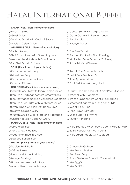# Halal International Buffet

| SALAD (Pick 1 items of your choice)                                                     |                                                |
|-----------------------------------------------------------------------------------------|------------------------------------------------|
| O Mesclun Salad                                                                         | O Caesar Salad with Crisp Croutons             |
| O Greek Salad                                                                           | O Gado-Gado with Peanut Sauce                  |
| O Seafood Salad with Cocktail Sauce                                                     | ∩ Potato Salad                                 |
| O Apple & Celery Salad                                                                  | O Nyonya Achar                                 |
| APPETIZERS (Pick 1 items of your choice)                                                |                                                |
| OTauhu Goreng                                                                           | O Thai Beef Salad                              |
| O Thai Prawn Salad with Green Papaya                                                    | O Roasted Duck with Plum Dressing              |
| O Assorted Maki Sushi with Condiments                                                   | O Marinated Baby Octopus (Chinese)             |
| OTop Shell Salad (Chinese                                                               | O Spicy Jellyfish (Chinese)                    |
| SOUP (Pick 1 item of your choice)                                                       |                                                |
| O Cream of Tomato Soup                                                                  | O Sweet Corn Soup with Crabmeat                |
| O Minestrone Soup                                                                       | O Hot & Sour Szechuan Soup                     |
| O Cream of Mushroom Soup                                                                | O Soto Ayam Madura                             |
| O Seafood Chowder                                                                       | O Beef Ball Soup with Vegetables               |
| HOT DISHES (Pick 4 items of your choice)                                                |                                                |
| O Seared Dory Fillet with Tangy Lemon Sauce                                             | O Crispy Fried Chicken with Spicy Peanut Sauce |
| OPan Fried Red Snapper with Creamy Leek                                                 | ○ Broccoli with Crabmeat                       |
| O Beef Stew accompanied with Spring Vegetable O Braised Spinach with Century Salted Egg |                                                |
| OPan Fried Beef Fillet with Mushroom Sauce                                              | O Steamed Seabass in "Hong Kong Style"         |
| O Oven-Baked Chicken with Honey Lime                                                    | O Sweet & Sour Fish                            |
| O Nyonya Chicken Curry                                                                  | O Fried Prawn with Oat                         |
| O Mutton Masala with Potato and Vegetable                                               | ○ Salted Egg Yolk Prawns                       |
| O Chicken in Spicy Coconut Gravy                                                        | O Mutton Rendang                               |
| MAIN COURSE (Pick 1 item of your choice)                                                |                                                |
| O Olive Fried Rice                                                                      | O Fried Seafood Kway Teow / Udon / Mee Tai Mak |
| O Yong Chow Fried Rice                                                                  | O Ee Fu Noodles with Mushrooms                 |
| O Vegetarian Fried Bee Hoon                                                             | O Fried Laksa Noodle with Seafood              |
| O Seafood Baked Rice                                                                    |                                                |
| DESSERT (Pick 3 items of your choice)                                                   |                                                |
| O Tropical Fruit Platter                                                                | O Chocolate Gateau                             |
| O Crème Brulee                                                                          | O Mini French Pastries                         |
| O Bread and Butter Pudding                                                              | O Red Bean Soup                                |
| O Mango Pudding                                                                         | O Black Glutinous Rice with Coconut Milk       |
| O Honeydew Melon with Sago                                                              | O Mini Egg Tart                                |
| O Almond Beancurd with Longan                                                           | O Mini Fruit Tart                              |

#### **FURAMA CITY CENTRE, SINGAPORE |** MALAY WEDDING 2022/2023